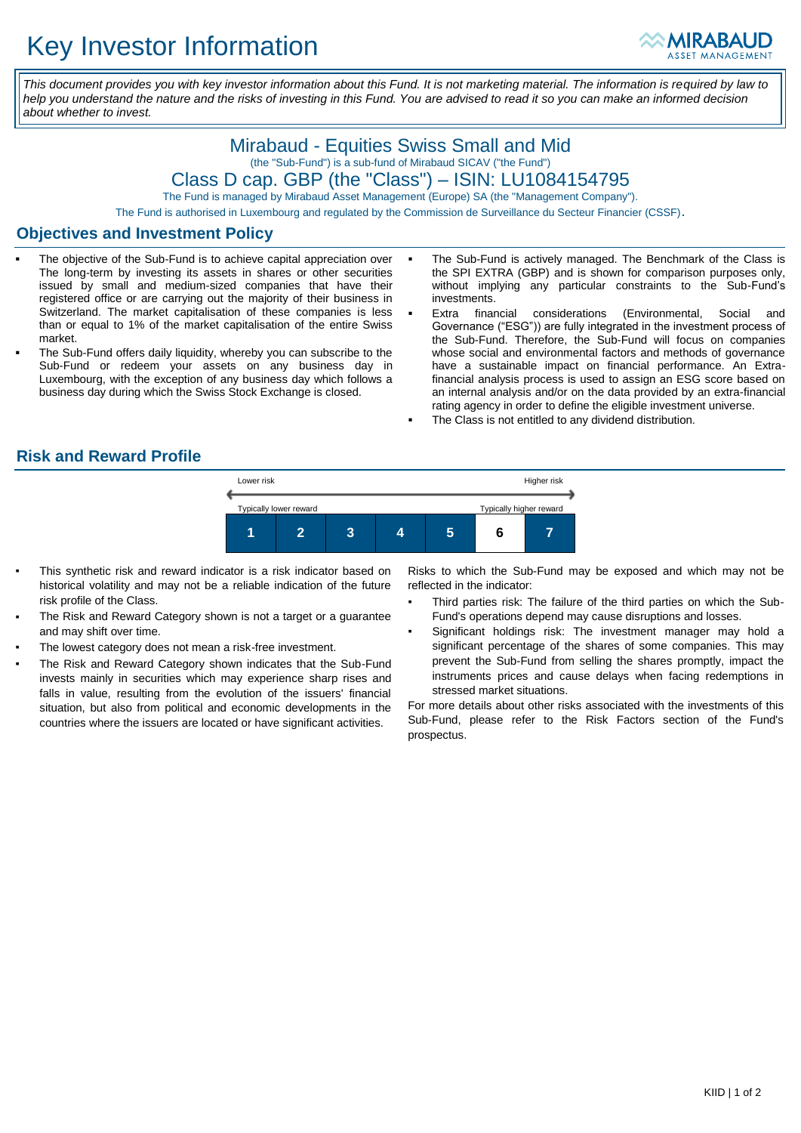

*This document provides you with key investor information about this Fund. It is not marketing material. The information is required by law to help you understand the nature and the risks of investing in this Fund. You are advised to read it so you can make an informed decision about whether to invest.*

# Mirabaud - Equities Swiss Small and Mid (the "Sub-Fund") is a sub-fund of Mirabaud SICAV ("the Fund") Class D cap. GBP (the "Class") – ISIN: LU1084154795

The Fund is managed by Mirabaud Asset Management (Europe) SA (the "Management Company").

The Fund is authorised in Luxembourg and regulated by the Commission de Surveillance du Secteur Financier (CSSF).

#### **Objectives and Investment Policy**

- The objective of the Sub-Fund is to achieve capital appreciation over The long-term by investing its assets in shares or other securities issued by small and medium-sized companies that have their registered office or are carrying out the majority of their business in Switzerland. The market capitalisation of these companies is less than or equal to 1% of the market capitalisation of the entire Swiss market.
- The Sub-Fund offers daily liquidity, whereby you can subscribe to the Sub-Fund or redeem your assets on any business day in Luxembourg, with the exception of any business day which follows a business day during which the Swiss Stock Exchange is closed.
- The Sub-Fund is actively managed. The Benchmark of the Class is the SPI EXTRA (GBP) and is shown for comparison purposes only, without implying any particular constraints to the Sub-Fund's investments.
- Extra financial considerations (Environmental, Social and Governance ("ESG")) are fully integrated in the investment process of the Sub-Fund. Therefore, the Sub-Fund will focus on companies whose social and environmental factors and methods of governance have a sustainable impact on financial performance. An Extrafinancial analysis process is used to assign an ESG score based on an internal analysis and/or on the data provided by an extra-financial rating agency in order to define the eligible investment universe.
- The Class is not entitled to any dividend distribution.

### **Risk and Reward Profile**



- This synthetic risk and reward indicator is a risk indicator based on historical volatility and may not be a reliable indication of the future risk profile of the Class.
- The Risk and Reward Category shown is not a target or a guarantee and may shift over time.
- The lowest category does not mean a risk-free investment.
- The Risk and Reward Category shown indicates that the Sub-Fund invests mainly in securities which may experience sharp rises and falls in value, resulting from the evolution of the issuers' financial situation, but also from political and economic developments in the countries where the issuers are located or have significant activities.

Risks to which the Sub-Fund may be exposed and which may not be reflected in the indicator:

- Third parties risk: The failure of the third parties on which the Sub-Fund's operations depend may cause disruptions and losses.
- Significant holdings risk: The investment manager may hold a significant percentage of the shares of some companies. This may prevent the Sub-Fund from selling the shares promptly, impact the instruments prices and cause delays when facing redemptions in stressed market situations.

For more details about other risks associated with the investments of this Sub-Fund, please refer to the Risk Factors section of the Fund's prospectus.